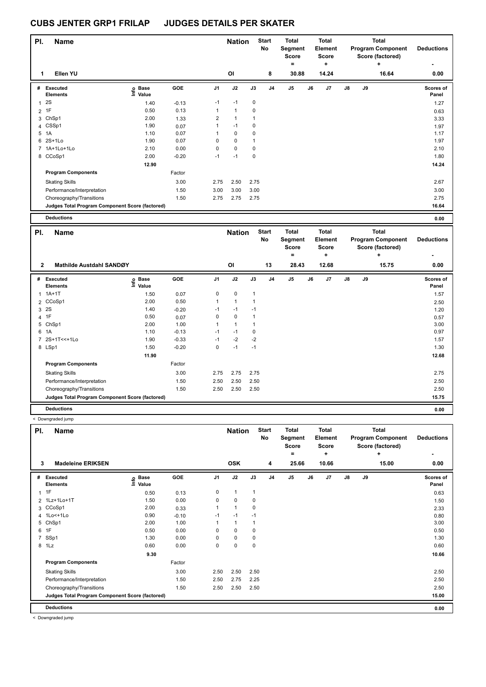| PI.            | <b>Name</b>                                     |                            |         |                | <b>Nation</b>  |      | <b>Start</b><br>No | <b>Total</b><br>Segment<br>Score<br>= |    | <b>Total</b><br>Element<br><b>Score</b><br>٠ |    |    | Total<br><b>Program Component</b><br>Score (factored)<br>٠ | <b>Deductions</b>  |
|----------------|-------------------------------------------------|----------------------------|---------|----------------|----------------|------|--------------------|---------------------------------------|----|----------------------------------------------|----|----|------------------------------------------------------------|--------------------|
| 1              | Ellen YU                                        |                            |         |                | O <sub>l</sub> |      | 8                  | 30.88                                 |    | 14.24                                        |    |    | 16.64                                                      | 0.00               |
| #              | Executed<br><b>Elements</b>                     | <b>Base</b><br>١m<br>Value | GOE     | J <sub>1</sub> | J2             | J3   | J <sub>4</sub>     | J <sub>5</sub>                        | J6 | J <sub>7</sub>                               | J8 | J9 |                                                            | Scores of<br>Panel |
| $\mathbf{1}$   | 2S                                              | 1.40                       | $-0.13$ | $-1$           | $-1$           | 0    |                    |                                       |    |                                              |    |    |                                                            | 1.27               |
| $\overline{2}$ | 1F                                              | 0.50                       | 0.13    | 1              | $\mathbf{1}$   | 0    |                    |                                       |    |                                              |    |    |                                                            | 0.63               |
| 3              | ChSp1                                           | 2.00                       | 1.33    | 2              | $\mathbf{1}$   | 1    |                    |                                       |    |                                              |    |    |                                                            | 3.33               |
|                | 4 CSSp1                                         | 1.90                       | 0.07    | 1              | $-1$           | 0    |                    |                                       |    |                                              |    |    |                                                            | 1.97               |
| 5              | 1A                                              | 1.10                       | 0.07    | 1              | $\mathbf 0$    | 0    |                    |                                       |    |                                              |    |    |                                                            | 1.17               |
| 6              | $2S+1L0$                                        | 1.90                       | 0.07    | 0              | $\mathbf 0$    | 1    |                    |                                       |    |                                              |    |    |                                                            | 1.97               |
| $7^{\circ}$    | 1A+1Lo+1Lo                                      | 2.10                       | 0.00    | 0              | $\mathbf 0$    | 0    |                    |                                       |    |                                              |    |    |                                                            | 2.10               |
|                | 8 CCoSp1                                        | 2.00                       | $-0.20$ | $-1$           | $-1$           | 0    |                    |                                       |    |                                              |    |    |                                                            | 1.80               |
|                |                                                 | 12.90                      |         |                |                |      |                    |                                       |    |                                              |    |    |                                                            | 14.24              |
|                | <b>Program Components</b>                       |                            | Factor  |                |                |      |                    |                                       |    |                                              |    |    |                                                            |                    |
|                | <b>Skating Skills</b>                           |                            | 3.00    | 2.75           | 2.50           | 2.75 |                    |                                       |    |                                              |    |    |                                                            | 2.67               |
|                | Performance/Interpretation                      |                            | 1.50    | 3.00           | 3.00           | 3.00 |                    |                                       |    |                                              |    |    |                                                            | 3.00               |
|                | Choreography/Transitions                        |                            | 1.50    | 2.75           | 2.75           | 2.75 |                    |                                       |    |                                              |    |    |                                                            | 2.75               |
|                | Judges Total Program Component Score (factored) |                            |         |                |                |      |                    |                                       |    |                                              |    |    |                                                            | 16.64              |
|                | <b>Deductions</b>                               |                            |         |                |                |      |                    |                                       |    |                                              |    |    |                                                            | 0.00               |

| PI.            | <b>Name</b>                                     |                       |            |                | <b>Nation</b>  |      | <b>Start</b><br>No | <b>Total</b><br>Segment |    | <b>Total</b><br>Element |               |    | Total<br><b>Program Component</b> | <b>Deductions</b>  |
|----------------|-------------------------------------------------|-----------------------|------------|----------------|----------------|------|--------------------|-------------------------|----|-------------------------|---------------|----|-----------------------------------|--------------------|
|                |                                                 |                       |            |                |                |      |                    | <b>Score</b>            |    | <b>Score</b>            |               |    | Score (factored)                  |                    |
|                |                                                 |                       |            |                |                |      |                    | =                       |    | ÷                       |               |    | ÷                                 |                    |
| $\mathbf{2}$   | Mathilde Austdahl SANDØY                        |                       |            |                | OI             |      | 13                 | 28.43                   |    | 12.68                   |               |    | 15.75                             | 0.00               |
| #              | <b>Executed</b><br><b>Elements</b>              | $E$ Base<br>$E$ Value | <b>GOE</b> | J <sub>1</sub> | J2             | J3   | J <sub>4</sub>     | J5                      | J6 | J7                      | $\mathsf{J}8$ | J9 |                                   | Scores of<br>Panel |
| 1              | $1A+1T$                                         | 1.50                  | 0.07       | 0              | $\pmb{0}$      | 1    |                    |                         |    |                         |               |    |                                   | 1.57               |
|                | 2 CCoSp1                                        | 2.00                  | 0.50       |                | 1              |      |                    |                         |    |                         |               |    |                                   | 2.50               |
|                | 3 2S                                            | 1.40                  | $-0.20$    | $-1$           | $-1$           | $-1$ |                    |                         |    |                         |               |    |                                   | 1.20               |
|                | 4 1F                                            | 0.50                  | 0.07       | 0              | 0              |      |                    |                         |    |                         |               |    |                                   | 0.57               |
|                | 5 ChSp1                                         | 2.00                  | 1.00       |                | $\overline{1}$ |      |                    |                         |    |                         |               |    |                                   | 3.00               |
|                | 6 1A                                            | 1.10                  | $-0.13$    | $-1$           | $-1$           | 0    |                    |                         |    |                         |               |    |                                   | 0.97               |
| $\overline{7}$ | 2S+1T<<+1Lo                                     | 1.90                  | $-0.33$    | $-1$           | $-2$           | $-2$ |                    |                         |    |                         |               |    |                                   | 1.57               |
|                | 8 LSp1                                          | 1.50                  | $-0.20$    | 0              | $-1$           | $-1$ |                    |                         |    |                         |               |    |                                   | 1.30               |
|                |                                                 | 11.90                 |            |                |                |      |                    |                         |    |                         |               |    |                                   | 12.68              |
|                | <b>Program Components</b>                       |                       | Factor     |                |                |      |                    |                         |    |                         |               |    |                                   |                    |
|                | <b>Skating Skills</b>                           |                       | 3.00       | 2.75           | 2.75           | 2.75 |                    |                         |    |                         |               |    |                                   | 2.75               |
|                | Performance/Interpretation                      |                       | 1.50       | 2.50           | 2.50           | 2.50 |                    |                         |    |                         |               |    |                                   | 2.50               |
|                | Choreography/Transitions                        |                       | 1.50       | 2.50           | 2.50           | 2.50 |                    |                         |    |                         |               |    |                                   | 2.50               |
|                | Judges Total Program Component Score (factored) |                       |            |                |                |      |                    |                         |    |                         |               |    |                                   | 15.75              |
|                | <b>Deductions</b>                               |                       |            |                |                |      |                    |                         |    |                         |               |    |                                   | 0.00               |

< Downgraded jump

| PI. | <b>Name</b>                                     |                            |         |                | <b>Nation</b> |      | <b>Start</b><br>No | <b>Total</b><br>Segment<br><b>Score</b><br>$=$ |    | Total<br>Element<br><b>Score</b><br>÷ |    |    | <b>Total</b><br><b>Program Component</b><br>Score (factored)<br>÷ | <b>Deductions</b>         |
|-----|-------------------------------------------------|----------------------------|---------|----------------|---------------|------|--------------------|------------------------------------------------|----|---------------------------------------|----|----|-------------------------------------------------------------------|---------------------------|
| 3   | <b>Madeleine ERIKSEN</b>                        |                            |         |                | <b>OSK</b>    |      | 4                  | 25.66                                          |    | 10.66                                 |    |    | 15.00                                                             | 0.00                      |
| #   | Executed<br><b>Elements</b>                     | e Base<br>⊑ Value<br>Value | GOE     | J <sub>1</sub> | J2            | J3   | J <sub>4</sub>     | J <sub>5</sub>                                 | J6 | J <sub>7</sub>                        | J8 | J9 |                                                                   | <b>Scores of</b><br>Panel |
|     | $1 \t1F$                                        | 0.50                       | 0.13    | 0              | 1             | 1    |                    |                                                |    |                                       |    |    |                                                                   | 0.63                      |
|     | 2 1Lz+1Lo+1T                                    | 1.50                       | 0.00    | 0              | 0             | 0    |                    |                                                |    |                                       |    |    |                                                                   | 1.50                      |
|     | 3 CCoSp1                                        | 2.00                       | 0.33    |                | 1             | 0    |                    |                                                |    |                                       |    |    |                                                                   | 2.33                      |
|     | 4 1Lo<+1Lo                                      | 0.90                       | $-0.10$ | $-1$           | $-1$          | $-1$ |                    |                                                |    |                                       |    |    |                                                                   | 0.80                      |
|     | 5 ChSp1                                         | 2.00                       | 1.00    |                | 1             | 1    |                    |                                                |    |                                       |    |    |                                                                   | 3.00                      |
|     | 6 1F                                            | 0.50                       | 0.00    | 0              | 0             | 0    |                    |                                                |    |                                       |    |    |                                                                   | 0.50                      |
|     | 7 SSp1                                          | 1.30                       | 0.00    | $\Omega$       | 0             | 0    |                    |                                                |    |                                       |    |    |                                                                   | 1.30                      |
|     | 8 1Lz                                           | 0.60                       | 0.00    | 0              | 0             | 0    |                    |                                                |    |                                       |    |    |                                                                   | 0.60                      |
|     |                                                 | 9.30                       |         |                |               |      |                    |                                                |    |                                       |    |    |                                                                   | 10.66                     |
|     | <b>Program Components</b>                       |                            | Factor  |                |               |      |                    |                                                |    |                                       |    |    |                                                                   |                           |
|     | <b>Skating Skills</b>                           |                            | 3.00    | 2.50           | 2.50          | 2.50 |                    |                                                |    |                                       |    |    |                                                                   | 2.50                      |
|     | Performance/Interpretation                      |                            | 1.50    | 2.50           | 2.75          | 2.25 |                    |                                                |    |                                       |    |    |                                                                   | 2.50                      |
|     | Choreography/Transitions                        |                            | 1.50    | 2.50           | 2.50          | 2.50 |                    |                                                |    |                                       |    |    |                                                                   | 2.50                      |
|     | Judges Total Program Component Score (factored) |                            |         |                |               |      |                    |                                                |    |                                       |    |    |                                                                   | 15.00                     |
|     | <b>Deductions</b>                               |                            |         |                |               |      |                    |                                                |    |                                       |    |    |                                                                   | 0.00                      |

< Downgraded jump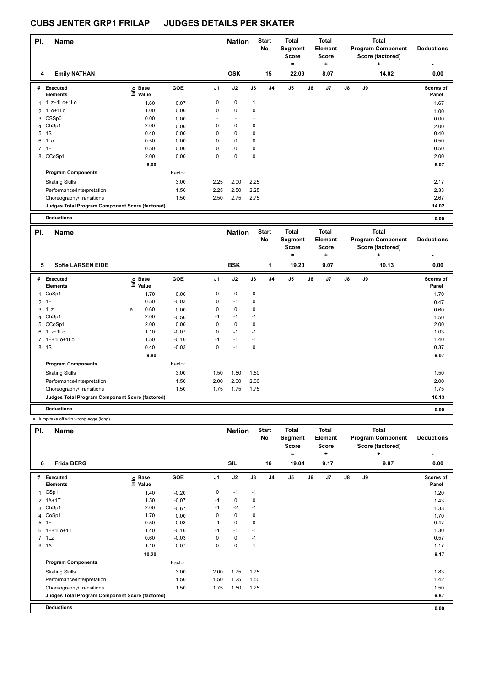| PI. | <b>Name</b>                                     |                              |            |                | <b>Nation</b> |              | <b>Start</b><br>No | <b>Total</b><br>Segment<br><b>Score</b><br>۰ |    | <b>Total</b><br>Element<br><b>Score</b><br>٠ |               |    | <b>Total</b><br><b>Program Component</b><br>Score (factored) | <b>Deductions</b>  |
|-----|-------------------------------------------------|------------------------------|------------|----------------|---------------|--------------|--------------------|----------------------------------------------|----|----------------------------------------------|---------------|----|--------------------------------------------------------------|--------------------|
| 4   | <b>Emily NATHAN</b>                             |                              |            |                | <b>OSK</b>    |              | 15                 | 22.09                                        |    | 8.07                                         |               |    | 14.02                                                        | 0.00               |
| #   | <b>Executed</b><br><b>Elements</b>              | <b>Base</b><br>١mfo<br>Value | <b>GOE</b> | J <sub>1</sub> | J2            | J3           | J <sub>4</sub>     | J <sub>5</sub>                               | J6 | J7                                           | $\mathsf{J}8$ | J9 |                                                              | Scores of<br>Panel |
|     | 1 1Lz+1Lo+1Lo                                   | 1.60                         | 0.07       | 0              | $\mathbf 0$   | $\mathbf{1}$ |                    |                                              |    |                                              |               |    |                                                              | 1.67               |
|     | 2 1Lo+1Lo                                       | 1.00                         | 0.00       | 0              | $\mathbf 0$   | 0            |                    |                                              |    |                                              |               |    |                                                              | 1.00               |
|     | 3 CSSp0                                         | 0.00                         | 0.00       |                |               |              |                    |                                              |    |                                              |               |    |                                                              | 0.00               |
|     | 4 ChSp1                                         | 2.00                         | 0.00       | 0              | $\mathbf 0$   | 0            |                    |                                              |    |                                              |               |    |                                                              | 2.00               |
| 5   | 1S                                              | 0.40                         | 0.00       | 0              | $\mathbf 0$   | 0            |                    |                                              |    |                                              |               |    |                                                              | 0.40               |
| 6   | 1Lo                                             | 0.50                         | 0.00       | 0              | 0             | 0            |                    |                                              |    |                                              |               |    |                                                              | 0.50               |
|     | 7 1F                                            | 0.50                         | 0.00       | 0              | $\mathbf 0$   | 0            |                    |                                              |    |                                              |               |    |                                                              | 0.50               |
|     | 8 CCoSp1                                        | 2.00                         | 0.00       | 0              | $\pmb{0}$     | 0            |                    |                                              |    |                                              |               |    |                                                              | 2.00               |
|     |                                                 | 8.00                         |            |                |               |              |                    |                                              |    |                                              |               |    |                                                              | 8.07               |
|     | <b>Program Components</b>                       |                              | Factor     |                |               |              |                    |                                              |    |                                              |               |    |                                                              |                    |
|     | <b>Skating Skills</b>                           |                              | 3.00       | 2.25           | 2.00          | 2.25         |                    |                                              |    |                                              |               |    |                                                              | 2.17               |
|     | Performance/Interpretation                      |                              | 1.50       | 2.25           | 2.50          | 2.25         |                    |                                              |    |                                              |               |    |                                                              | 2.33               |
|     | Choreography/Transitions                        |                              | 1.50       | 2.50           | 2.75          | 2.75         |                    |                                              |    |                                              |               |    |                                                              | 2.67               |
|     | Judges Total Program Component Score (factored) |                              |            |                |               |              |                    |                                              |    |                                              |               |    |                                                              | 14.02              |
|     | <b>Deductions</b>                               |                              |            |                |               |              |                    |                                              |    |                                              |               |    |                                                              | 0.00               |
| PI. | <b>Name</b>                                     |                              |            |                | <b>Nation</b> |              | <b>Start</b>       | <b>Total</b>                                 |    | <b>Total</b>                                 |               |    | <b>Total</b>                                                 |                    |

| PI.          | <b>Name</b>                                     |    |               |         |      | <b>Nation</b> |      | <b>Start</b><br>No | Total<br>Segment<br>Score<br>۰ | <b>Total</b><br>Element<br><b>Score</b><br>÷ |               |    | Total<br><b>Program Component</b><br>Score (factored)<br>÷ | <b>Deductions</b><br>$\overline{\phantom{0}}$ |
|--------------|-------------------------------------------------|----|---------------|---------|------|---------------|------|--------------------|--------------------------------|----------------------------------------------|---------------|----|------------------------------------------------------------|-----------------------------------------------|
| 5            | <b>Sofie LARSEN EIDE</b>                        |    |               |         |      | <b>BSK</b>    |      | 1                  | 19.20                          | 9.07                                         |               |    | 10.13                                                      | 0.00                                          |
| #            | <b>Executed</b><br><b>Elements</b>              | ١m | Base<br>Value | GOE     | J1   | J2            | J3   | J <sub>4</sub>     | J5                             | J7<br>J6                                     | $\mathsf{J}8$ | J9 |                                                            | <b>Scores of</b><br>Panel                     |
| 1            | CoSp1                                           |    | 1.70          | 0.00    | 0    | $\mathbf 0$   | 0    |                    |                                |                                              |               |    |                                                            | 1.70                                          |
|              | $2$ 1F                                          |    | 0.50          | $-0.03$ | 0    | $-1$          | 0    |                    |                                |                                              |               |    |                                                            | 0.47                                          |
| $\mathbf{3}$ | 1Lz                                             | e  | 0.60          | 0.00    | 0    | $\mathbf 0$   | 0    |                    |                                |                                              |               |    |                                                            | 0.60                                          |
| 4            | ChSp1                                           |    | 2.00          | $-0.50$ | $-1$ | $-1$          | $-1$ |                    |                                |                                              |               |    |                                                            | 1.50                                          |
| 5            | CCoSp1                                          |    | 2.00          | 0.00    | 0    | 0             | 0    |                    |                                |                                              |               |    |                                                            | 2.00                                          |
| 6            | 1Lz+1Lo                                         |    | 1.10          | $-0.07$ | 0    | $-1$          | $-1$ |                    |                                |                                              |               |    |                                                            | 1.03                                          |
|              | 7 1F+1Lo+1Lo                                    |    | 1.50          | $-0.10$ | $-1$ | $-1$          | $-1$ |                    |                                |                                              |               |    |                                                            | 1.40                                          |
|              | 8 1S                                            |    | 0.40          | $-0.03$ | 0    | $-1$          | 0    |                    |                                |                                              |               |    |                                                            | 0.37                                          |
|              |                                                 |    | 9.80          |         |      |               |      |                    |                                |                                              |               |    |                                                            | 9.07                                          |
|              | <b>Program Components</b>                       |    |               | Factor  |      |               |      |                    |                                |                                              |               |    |                                                            |                                               |
|              | <b>Skating Skills</b>                           |    |               | 3.00    | 1.50 | 1.50          | 1.50 |                    |                                |                                              |               |    |                                                            | 1.50                                          |
|              | Performance/Interpretation                      |    |               | 1.50    | 2.00 | 2.00          | 2.00 |                    |                                |                                              |               |    |                                                            | 2.00                                          |
|              | Choreography/Transitions                        |    |               | 1.50    | 1.75 | 1.75          | 1.75 |                    |                                |                                              |               |    |                                                            | 1.75                                          |
|              | Judges Total Program Component Score (factored) |    |               |         |      |               |      |                    |                                |                                              |               |    |                                                            | 10.13                                         |
|              | <b>Deductions</b>                               |    |               |         |      |               |      |                    |                                |                                              |               |    |                                                            | 0.00                                          |

e Jump take off with wrong edge (long)

| PI.            | <b>Name</b>                                     |                            |         |                | <b>Nation</b> |              | <b>Start</b><br>No | <b>Total</b><br>Segment<br>Score<br>۰ |    | <b>Total</b><br>Element<br><b>Score</b><br>÷ |               |    | <b>Total</b><br><b>Program Component</b><br>Score (factored)<br>٠ | <b>Deductions</b>  |
|----------------|-------------------------------------------------|----------------------------|---------|----------------|---------------|--------------|--------------------|---------------------------------------|----|----------------------------------------------|---------------|----|-------------------------------------------------------------------|--------------------|
| 6              | <b>Frida BERG</b>                               |                            |         |                | <b>SIL</b>    |              | 16                 | 19.04                                 |    | 9.17                                         |               |    | 9.87                                                              | 0.00               |
| #              | Executed<br><b>Elements</b>                     | e Base<br>⊆ Value<br>Value | GOE     | J <sub>1</sub> | J2            | J3           | J <sub>4</sub>     | J <sub>5</sub>                        | J6 | J <sub>7</sub>                               | $\mathsf{J}8$ | J9 |                                                                   | Scores of<br>Panel |
| $\mathbf{1}$   | CSp1                                            | 1.40                       | $-0.20$ | 0              | $-1$          | $-1$         |                    |                                       |    |                                              |               |    |                                                                   | 1.20               |
| $\overline{2}$ | $1A+1T$                                         | 1.50                       | $-0.07$ | $-1$           | 0             | $\mathbf 0$  |                    |                                       |    |                                              |               |    |                                                                   | 1.43               |
| 3              | ChSp1                                           | 2.00                       | $-0.67$ | $-1$           | $-2$          | $-1$         |                    |                                       |    |                                              |               |    |                                                                   | 1.33               |
|                | 4 CoSp1                                         | 1.70                       | 0.00    | 0              | 0             | $\mathbf 0$  |                    |                                       |    |                                              |               |    |                                                                   | 1.70               |
|                | 5 1F                                            | 0.50                       | $-0.03$ | $-1$           | 0             | $\mathbf 0$  |                    |                                       |    |                                              |               |    |                                                                   | 0.47               |
|                | 6 1F+1Lo+1T                                     | 1.40                       | $-0.10$ | $-1$           | $-1$          | $-1$         |                    |                                       |    |                                              |               |    |                                                                   | 1.30               |
|                | 7 1Lz                                           | 0.60                       | $-0.03$ | 0              | 0             | $-1$         |                    |                                       |    |                                              |               |    |                                                                   | 0.57               |
|                | 8 1A                                            | 1.10                       | 0.07    | 0              | 0             | $\mathbf{1}$ |                    |                                       |    |                                              |               |    |                                                                   | 1.17               |
|                |                                                 | 10.20                      |         |                |               |              |                    |                                       |    |                                              |               |    |                                                                   | 9.17               |
|                | <b>Program Components</b>                       |                            | Factor  |                |               |              |                    |                                       |    |                                              |               |    |                                                                   |                    |
|                | <b>Skating Skills</b>                           |                            | 3.00    | 2.00           | 1.75          | 1.75         |                    |                                       |    |                                              |               |    |                                                                   | 1.83               |
|                | Performance/Interpretation                      |                            | 1.50    | 1.50           | 1.25          | 1.50         |                    |                                       |    |                                              |               |    |                                                                   | 1.42               |
|                | Choreography/Transitions                        |                            | 1.50    | 1.75           | 1.50          | 1.25         |                    |                                       |    |                                              |               |    |                                                                   | 1.50               |
|                | Judges Total Program Component Score (factored) |                            |         |                |               |              |                    |                                       |    |                                              |               |    |                                                                   | 9.87               |
|                | <b>Deductions</b>                               |                            |         |                |               |              |                    |                                       |    |                                              |               |    |                                                                   | 0.00               |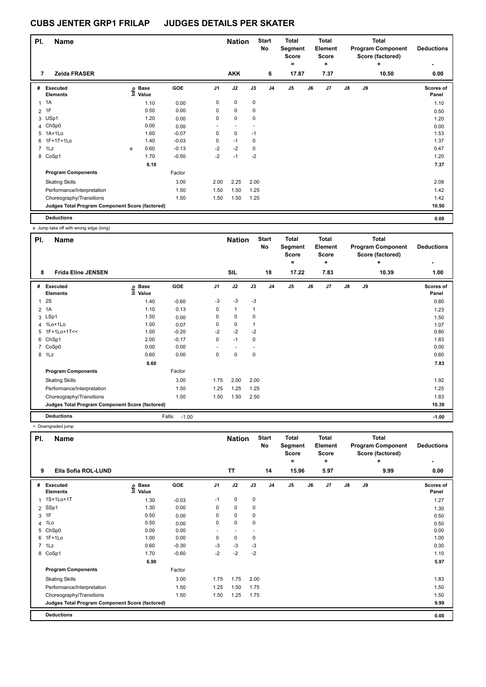| PI.            | Name                                            |    |                      |         |                | <b>Nation</b>            |             | <b>Start</b><br>No | <b>Total</b><br>Segment<br><b>Score</b><br>۰ |    | <b>Total</b><br>Element<br><b>Score</b><br>÷ |               |    | <b>Total</b><br><b>Program Component</b><br>Score (factored)<br>÷ | <b>Deductions</b>  |
|----------------|-------------------------------------------------|----|----------------------|---------|----------------|--------------------------|-------------|--------------------|----------------------------------------------|----|----------------------------------------------|---------------|----|-------------------------------------------------------------------|--------------------|
| 7              | <b>Zelda FRASER</b>                             |    |                      |         |                | <b>AKK</b>               |             | 6                  | 17.87                                        |    | 7.37                                         |               |    | 10.50                                                             | 0.00               |
| #              | Executed<br><b>Elements</b>                     | ١m | <b>Base</b><br>Value | GOE     | J <sub>1</sub> | J2                       | J3          | J <sub>4</sub>     | $\mathsf{J}5$                                | J6 | J7                                           | $\mathsf{J}8$ | J9 |                                                                   | Scores of<br>Panel |
| 1              | 1A                                              |    | 1.10                 | 0.00    | 0              | $\mathbf 0$              | 0           |                    |                                              |    |                                              |               |    |                                                                   | 1.10               |
| $\overline{2}$ | 1F                                              |    | 0.50                 | 0.00    | 0              | $\mathbf 0$              | 0           |                    |                                              |    |                                              |               |    |                                                                   | 0.50               |
| 3              | USp1                                            |    | 1.20                 | 0.00    | 0              | $\mathbf 0$              | $\mathbf 0$ |                    |                                              |    |                                              |               |    |                                                                   | 1.20               |
| 4              | ChSp0                                           |    | 0.00                 | 0.00    |                | $\overline{\phantom{a}}$ |             |                    |                                              |    |                                              |               |    |                                                                   | 0.00               |
| 5              | 1A+1Lo                                          |    | 1.60                 | $-0.07$ | 0              | $\mathbf 0$              | $-1$        |                    |                                              |    |                                              |               |    |                                                                   | 1.53               |
| 6              | 1F+1T+1Lo                                       |    | 1.40                 | $-0.03$ | 0              | $-1$                     | 0           |                    |                                              |    |                                              |               |    |                                                                   | 1.37               |
|                | $7$ 1 Lz                                        | e  | 0.60                 | $-0.13$ | $-2$           | $-2$                     | $\mathbf 0$ |                    |                                              |    |                                              |               |    |                                                                   | 0.47               |
|                | 8 CoSp1                                         |    | 1.70                 | $-0.50$ | $-2$           | $-1$                     | $-2$        |                    |                                              |    |                                              |               |    |                                                                   | 1.20               |
|                |                                                 |    | 8.10                 |         |                |                          |             |                    |                                              |    |                                              |               |    |                                                                   | 7.37               |
|                | <b>Program Components</b>                       |    |                      | Factor  |                |                          |             |                    |                                              |    |                                              |               |    |                                                                   |                    |
|                | <b>Skating Skills</b>                           |    |                      | 3.00    | 2.00           | 2.25                     | 2.00        |                    |                                              |    |                                              |               |    |                                                                   | 2.08               |
|                | Performance/Interpretation                      |    |                      | 1.50    | 1.50           | 1.50                     | 1.25        |                    |                                              |    |                                              |               |    |                                                                   | 1.42               |
|                | Choreography/Transitions                        |    |                      | 1.50    | 1.50           | 1.50                     | 1.25        |                    |                                              |    |                                              |               |    |                                                                   | 1.42               |
|                | Judges Total Program Component Score (factored) |    |                      |         |                |                          |             |                    |                                              |    |                                              |               |    |                                                                   | 10.50              |
|                | <b>Deductions</b>                               |    |                      |         |                |                          |             |                    |                                              |    |                                              |               |    |                                                                   | 0.00               |

e Jump take off with wrong edge (long)

| PI.          | <b>Name</b>                                     |                            |                   |      | <b>Nation</b> |      | <b>Start</b><br>No | <b>Total</b><br>Segment<br><b>Score</b><br>$\equiv$ |    | <b>Total</b><br>Element<br><b>Score</b><br>٠ |               |    | <b>Total</b><br><b>Program Component</b><br>Score (factored)<br>٠ | <b>Deductions</b>  |
|--------------|-------------------------------------------------|----------------------------|-------------------|------|---------------|------|--------------------|-----------------------------------------------------|----|----------------------------------------------|---------------|----|-------------------------------------------------------------------|--------------------|
| 8            | <b>Frida Eline JENSEN</b>                       |                            |                   |      | <b>SIL</b>    |      | 18                 | 17.22                                               |    | 7.83                                         |               |    | 10.39                                                             | 1.00               |
| #            | Executed<br><b>Elements</b>                     | e Base<br>E Value<br>Value | GOE               | J1   | J2            | J3   | J <sub>4</sub>     | J <sub>5</sub>                                      | J6 | J7                                           | $\mathsf{J}8$ | J9 |                                                                   | Scores of<br>Panel |
| $\mathbf{1}$ | <b>2S</b>                                       | 1.40                       | $-0.60$           | -3   | -3            | $-3$ |                    |                                                     |    |                                              |               |    |                                                                   | 0.80               |
|              | 2 1A                                            | 1.10                       | 0.13              | 0    | $\mathbf{1}$  |      |                    |                                                     |    |                                              |               |    |                                                                   | 1.23               |
|              | 3 LSp1                                          | 1.50                       | 0.00              | 0    | $\pmb{0}$     | 0    |                    |                                                     |    |                                              |               |    |                                                                   | 1.50               |
|              | 4 1Lo+1Lo                                       | 1.00                       | 0.07              | 0    | $\mathbf 0$   |      |                    |                                                     |    |                                              |               |    |                                                                   | 1.07               |
|              | 5 1F+1Lo+1T<<                                   | 1.00                       | $-0.20$           | $-2$ | $-2$          | $-2$ |                    |                                                     |    |                                              |               |    |                                                                   | 0.80               |
|              | 6 ChSp1                                         | 2.00                       | $-0.17$           | 0    | $-1$          | 0    |                    |                                                     |    |                                              |               |    |                                                                   | 1.83               |
|              | 7 CoSp0                                         | 0.00                       | 0.00              |      | ٠             |      |                    |                                                     |    |                                              |               |    |                                                                   | 0.00               |
|              | 8 1Lz                                           | 0.60                       | 0.00              | 0    | $\pmb{0}$     | 0    |                    |                                                     |    |                                              |               |    |                                                                   | 0.60               |
|              |                                                 | 8.60                       |                   |      |               |      |                    |                                                     |    |                                              |               |    |                                                                   | 7.83               |
|              | <b>Program Components</b>                       |                            | Factor            |      |               |      |                    |                                                     |    |                                              |               |    |                                                                   |                    |
|              | <b>Skating Skills</b>                           |                            | 3.00              | 1.75 | 2.00          | 2.00 |                    |                                                     |    |                                              |               |    |                                                                   | 1.92               |
|              | Performance/Interpretation                      |                            | 1.50              | 1.25 | 1.25          | 1.25 |                    |                                                     |    |                                              |               |    |                                                                   | 1.25               |
|              | Choreography/Transitions                        |                            | 1.50              | 1.50 | 1.50          | 2.50 |                    |                                                     |    |                                              |               |    |                                                                   | 1.83               |
|              | Judges Total Program Component Score (factored) |                            |                   |      |               |      |                    |                                                     |    |                                              |               |    |                                                                   | 10.39              |
|              | <b>Deductions</b>                               |                            | Falls:<br>$-1.00$ |      |               |      |                    |                                                     |    |                                              |               |    |                                                                   | $-1.00$            |

|                | < Downgraded jump                               |                            |         |                |                            |      |                          |                                                       |    |                                                      |    |    |                                                                           |                                |
|----------------|-------------------------------------------------|----------------------------|---------|----------------|----------------------------|------|--------------------------|-------------------------------------------------------|----|------------------------------------------------------|----|----|---------------------------------------------------------------------------|--------------------------------|
| PI.<br>9       | <b>Name</b><br>Ella Sofia ROL-LUND              |                            |         |                | <b>Nation</b><br><b>TT</b> |      | <b>Start</b><br>No<br>14 | <b>Total</b><br>Segment<br><b>Score</b><br>۰<br>15.96 |    | <b>Total</b><br>Element<br><b>Score</b><br>٠<br>5.97 |    |    | <b>Total</b><br><b>Program Component</b><br>Score (factored)<br>÷<br>9.99 | <b>Deductions</b><br>٠<br>0.00 |
|                |                                                 |                            |         |                |                            |      |                          |                                                       |    |                                                      |    |    |                                                                           |                                |
| #              | Executed<br><b>Elements</b>                     | e Base<br>E Value<br>Value | GOE     | J <sub>1</sub> | J2                         | J3   | J <sub>4</sub>           | J <sub>5</sub>                                        | J6 | J7                                                   | J8 | J9 |                                                                           | Scores of<br>Panel             |
|                | 1 1S+1Lo+1T                                     | 1.30                       | $-0.03$ | $-1$           | 0                          | 0    |                          |                                                       |    |                                                      |    |    |                                                                           | 1.27                           |
| $\overline{2}$ | SSp1                                            | 1.30                       | 0.00    | 0              | 0                          | 0    |                          |                                                       |    |                                                      |    |    |                                                                           | 1.30                           |
|                | 3 1F                                            | 0.50                       | 0.00    | 0              | 0                          | 0    |                          |                                                       |    |                                                      |    |    |                                                                           | 0.50                           |
| $\overline{4}$ | 1Lo                                             | 0.50                       | 0.00    | 0              | $\mathbf 0$                | 0    |                          |                                                       |    |                                                      |    |    |                                                                           | 0.50                           |
| 5              | ChSp0                                           | 0.00                       | 0.00    |                |                            |      |                          |                                                       |    |                                                      |    |    |                                                                           | 0.00                           |
|                | 6 1F+1Lo                                        | 1.00                       | 0.00    | 0              | $\mathbf 0$                | 0    |                          |                                                       |    |                                                      |    |    |                                                                           | 1.00                           |
|                | 7 1Lz                                           | 0.60                       | $-0.30$ | $-3$           | $-3$                       | -3   |                          |                                                       |    |                                                      |    |    |                                                                           | 0.30                           |
|                | 8 CoSp1                                         | 1.70                       | $-0.60$ | $-2$           | $-2$                       | $-2$ |                          |                                                       |    |                                                      |    |    |                                                                           | 1.10                           |
|                |                                                 | 6.90                       |         |                |                            |      |                          |                                                       |    |                                                      |    |    |                                                                           | 5.97                           |
|                | <b>Program Components</b>                       |                            | Factor  |                |                            |      |                          |                                                       |    |                                                      |    |    |                                                                           |                                |
|                | <b>Skating Skills</b>                           |                            | 3.00    | 1.75           | 1.75                       | 2.00 |                          |                                                       |    |                                                      |    |    |                                                                           | 1.83                           |
|                | Performance/Interpretation                      |                            | 1.50    | 1.25           | 1.50                       | 1.75 |                          |                                                       |    |                                                      |    |    |                                                                           | 1.50                           |
|                | Choreography/Transitions                        |                            | 1.50    | 1.50           | 1.25                       | 1.75 |                          |                                                       |    |                                                      |    |    |                                                                           | 1.50                           |
|                | Judges Total Program Component Score (factored) |                            |         |                |                            |      |                          |                                                       |    |                                                      |    |    |                                                                           | 9.99                           |
|                | <b>Deductions</b>                               |                            |         |                |                            |      |                          |                                                       |    |                                                      |    |    |                                                                           | 0.00                           |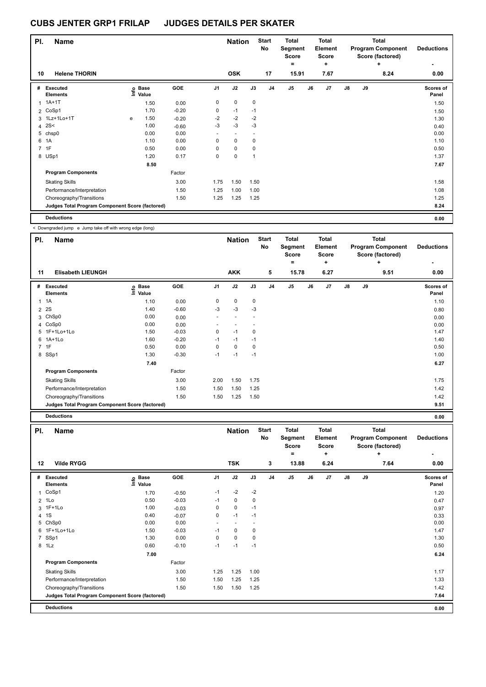| PI.            | <b>Name</b>                                     |      |                      |         |                          | <b>Nation</b>            |      | <b>Start</b><br>No | <b>Total</b><br>Segment<br><b>Score</b> |    | <b>Total</b><br>Element<br><b>Score</b> |               |    | <b>Total</b><br><b>Program Component</b><br>Score (factored) | <b>Deductions</b>  |
|----------------|-------------------------------------------------|------|----------------------|---------|--------------------------|--------------------------|------|--------------------|-----------------------------------------|----|-----------------------------------------|---------------|----|--------------------------------------------------------------|--------------------|
| 10             | <b>Helene THORIN</b>                            |      |                      |         |                          | <b>OSK</b>               |      | 17                 | ٠<br>15.91                              |    | ٠<br>7.67                               |               |    | ÷<br>8.24                                                    | 0.00               |
| #              | Executed<br><b>Elements</b>                     | lnfo | <b>Base</b><br>Value | GOE     | J <sub>1</sub>           | J2                       | J3   | J <sub>4</sub>     | J <sub>5</sub>                          | J6 | J7                                      | $\mathsf{J}8$ | J9 |                                                              | Scores of<br>Panel |
| 1              | $1A+1T$                                         |      | 1.50                 | 0.00    | 0                        | $\mathbf 0$              | 0    |                    |                                         |    |                                         |               |    |                                                              | 1.50               |
|                | 2 CoSp1                                         |      | 1.70                 | $-0.20$ | 0                        | $-1$                     | $-1$ |                    |                                         |    |                                         |               |    |                                                              | 1.50               |
|                | 3 1Lz+1Lo+1T                                    | e    | 1.50                 | $-0.20$ | $-2$                     | $-2$                     | $-2$ |                    |                                         |    |                                         |               |    |                                                              | 1.30               |
| 4              | 2S<                                             |      | 1.00                 | $-0.60$ | $-3$                     | $-3$                     | $-3$ |                    |                                         |    |                                         |               |    |                                                              | 0.40               |
| 5              | chsp0                                           |      | 0.00                 | 0.00    | $\overline{\phantom{a}}$ | $\overline{\phantom{a}}$ |      |                    |                                         |    |                                         |               |    |                                                              | 0.00               |
| 6              | 1A                                              |      | 1.10                 | 0.00    | 0                        | $\mathbf 0$              | 0    |                    |                                         |    |                                         |               |    |                                                              | 1.10               |
| $\overline{7}$ | 1F                                              |      | 0.50                 | 0.00    | 0                        | $\mathbf 0$              | 0    |                    |                                         |    |                                         |               |    |                                                              | 0.50               |
|                | 8 USp1                                          |      | 1.20                 | 0.17    | 0                        | $\mathbf 0$              | 1    |                    |                                         |    |                                         |               |    |                                                              | 1.37               |
|                |                                                 |      | 8.50                 |         |                          |                          |      |                    |                                         |    |                                         |               |    |                                                              | 7.67               |
|                | <b>Program Components</b>                       |      |                      | Factor  |                          |                          |      |                    |                                         |    |                                         |               |    |                                                              |                    |
|                | <b>Skating Skills</b>                           |      |                      | 3.00    | 1.75                     | 1.50                     | 1.50 |                    |                                         |    |                                         |               |    |                                                              | 1.58               |
|                | Performance/Interpretation                      |      |                      | 1.50    | 1.25                     | 1.00                     | 1.00 |                    |                                         |    |                                         |               |    |                                                              | 1.08               |
|                | Choreography/Transitions                        |      |                      | 1.50    | 1.25                     | 1.25                     | 1.25 |                    |                                         |    |                                         |               |    |                                                              | 1.25               |
|                | Judges Total Program Component Score (factored) |      |                      |         |                          |                          |      |                    |                                         |    |                                         |               |    |                                                              | 8.24               |
|                | <b>Deductions</b>                               |      |                      |         |                          |                          |      |                    |                                         |    |                                         |               |    |                                                              | 0.00               |

< Downgraded jump e Jump take off with wrong edge (long)

| PI.            | <b>Name</b>                                     |                            |         |                | <b>Nation</b> |             | <b>Start</b><br>No | Total<br>Segment<br><b>Score</b><br>= |    | <b>Total</b><br>Element<br><b>Score</b><br>÷ |    |    | <b>Total</b><br><b>Program Component</b><br>Score (factored)<br>٠ | <b>Deductions</b><br>۰ |
|----------------|-------------------------------------------------|----------------------------|---------|----------------|---------------|-------------|--------------------|---------------------------------------|----|----------------------------------------------|----|----|-------------------------------------------------------------------|------------------------|
| 11             | <b>Elisabeth LIEUNGH</b>                        |                            |         |                | <b>AKK</b>    |             | 5                  | 15.78                                 |    | 6.27                                         |    |    | 9.51                                                              | 0.00                   |
| #              | <b>Executed</b><br><b>Elements</b>              | e Base<br>⊆ Value<br>Value | GOE     | J <sub>1</sub> | J2            | J3          | J <sub>4</sub>     | J <sub>5</sub>                        | J6 | J <sub>7</sub>                               | J8 | J9 |                                                                   | Scores of<br>Panel     |
| $\overline{1}$ | 1A                                              | 1.10                       | 0.00    | 0              | $\mathbf 0$   | $\mathbf 0$ |                    |                                       |    |                                              |    |    |                                                                   | 1.10                   |
|                | 2 2 S                                           | 1.40                       | $-0.60$ | -3             | $-3$          | $-3$        |                    |                                       |    |                                              |    |    |                                                                   | 0.80                   |
| 3              | ChSp0                                           | 0.00                       | 0.00    | ٠              |               |             |                    |                                       |    |                                              |    |    |                                                                   | 0.00                   |
|                | 4 CoSp0                                         | 0.00                       | 0.00    | ٠              | ۰             |             |                    |                                       |    |                                              |    |    |                                                                   | 0.00                   |
|                | 5 1F+1Lo+1Lo                                    | 1.50                       | $-0.03$ | 0              | $-1$          | 0           |                    |                                       |    |                                              |    |    |                                                                   | 1.47                   |
| 6              | $1A+1L0$                                        | 1.60                       | $-0.20$ | $-1$           | $-1$          | $-1$        |                    |                                       |    |                                              |    |    |                                                                   | 1.40                   |
|                | 7 1F                                            | 0.50                       | 0.00    | 0              | $\mathbf 0$   | 0           |                    |                                       |    |                                              |    |    |                                                                   | 0.50                   |
|                | 8 SSp1                                          | 1.30                       | $-0.30$ | $-1$           | $-1$          | $-1$        |                    |                                       |    |                                              |    |    |                                                                   | 1.00                   |
|                |                                                 | 7.40                       |         |                |               |             |                    |                                       |    |                                              |    |    |                                                                   | 6.27                   |
|                | <b>Program Components</b>                       |                            | Factor  |                |               |             |                    |                                       |    |                                              |    |    |                                                                   |                        |
|                | <b>Skating Skills</b>                           |                            | 3.00    | 2.00           | 1.50          | 1.75        |                    |                                       |    |                                              |    |    |                                                                   | 1.75                   |
|                | Performance/Interpretation                      |                            | 1.50    | 1.50           | 1.50          | 1.25        |                    |                                       |    |                                              |    |    |                                                                   | 1.42                   |
|                | Choreography/Transitions                        |                            | 1.50    | 1.50           | 1.25          | 1.50        |                    |                                       |    |                                              |    |    |                                                                   | 1.42                   |
|                | Judges Total Program Component Score (factored) |                            |         |                |               |             |                    |                                       |    |                                              |    |    |                                                                   | 9.51                   |
|                | <b>Deductions</b>                               |                            |         |                |               |             |                    |                                       |    |                                              |    |    |                                                                   | 0.00                   |

| PI.            | <b>Name</b>                                     |                                  |         |                | <b>Nation</b>            |      | <b>Start</b><br>No | <b>Total</b><br>Segment<br><b>Score</b><br>۰ |    | <b>Total</b><br>Element<br><b>Score</b><br>÷ |               |    | <b>Total</b><br><b>Program Component</b><br>Score (factored)<br>÷ | <b>Deductions</b><br>۰ |
|----------------|-------------------------------------------------|----------------------------------|---------|----------------|--------------------------|------|--------------------|----------------------------------------------|----|----------------------------------------------|---------------|----|-------------------------------------------------------------------|------------------------|
| 12             | <b>Vilde RYGG</b>                               |                                  |         |                | <b>TSK</b>               |      | 3                  | 13.88                                        |    | 6.24                                         |               |    | 7.64                                                              | 0.00                   |
| #              | Executed<br><b>Elements</b>                     | <b>Base</b><br>은 Base<br>트 Value | GOE     | J <sub>1</sub> | J2                       | J3   | J <sub>4</sub>     | J <sub>5</sub>                               | J6 | J7                                           | $\mathsf{J}8$ | J9 |                                                                   | Scores of<br>Panel     |
|                | 1 CoSp1                                         | 1.70                             | $-0.50$ | $-1$           | $-2$                     | $-2$ |                    |                                              |    |                                              |               |    |                                                                   | 1.20                   |
|                | 2 1Lo                                           | 0.50                             | $-0.03$ | $-1$           | $\mathbf 0$              | 0    |                    |                                              |    |                                              |               |    |                                                                   | 0.47                   |
|                | 3 1F+1Lo                                        | 1.00                             | $-0.03$ | 0              | $\mathbf 0$              | $-1$ |                    |                                              |    |                                              |               |    |                                                                   | 0.97                   |
| 4              | 1S                                              | 0.40                             | $-0.07$ | 0              | $-1$                     | $-1$ |                    |                                              |    |                                              |               |    |                                                                   | 0.33                   |
|                | 5 ChSp0                                         | 0.00                             | 0.00    | ٠              | $\overline{\phantom{a}}$ |      |                    |                                              |    |                                              |               |    |                                                                   | 0.00                   |
|                | 6 1F+1Lo+1Lo                                    | 1.50                             | $-0.03$ | $-1$           | 0                        | 0    |                    |                                              |    |                                              |               |    |                                                                   | 1.47                   |
| $\overline{7}$ | SSp1                                            | 1.30                             | 0.00    | 0              | $\mathbf 0$              | 0    |                    |                                              |    |                                              |               |    |                                                                   | 1.30                   |
|                | 8 1Lz                                           | 0.60                             | $-0.10$ | $-1$           | $-1$                     | $-1$ |                    |                                              |    |                                              |               |    |                                                                   | 0.50                   |
|                |                                                 | 7.00                             |         |                |                          |      |                    |                                              |    |                                              |               |    |                                                                   | 6.24                   |
|                | <b>Program Components</b>                       |                                  | Factor  |                |                          |      |                    |                                              |    |                                              |               |    |                                                                   |                        |
|                | <b>Skating Skills</b>                           |                                  | 3.00    | 1.25           | 1.25                     | 1.00 |                    |                                              |    |                                              |               |    |                                                                   | 1.17                   |
|                | Performance/Interpretation                      |                                  | 1.50    | 1.50           | 1.25                     | 1.25 |                    |                                              |    |                                              |               |    |                                                                   | 1.33                   |
|                | Choreography/Transitions                        |                                  | 1.50    | 1.50           | 1.50                     | 1.25 |                    |                                              |    |                                              |               |    |                                                                   | 1.42                   |
|                | Judges Total Program Component Score (factored) |                                  |         |                |                          |      |                    |                                              |    |                                              |               |    |                                                                   | 7.64                   |
|                | <b>Deductions</b>                               |                                  |         |                |                          |      |                    |                                              |    |                                              |               |    |                                                                   | 0.00                   |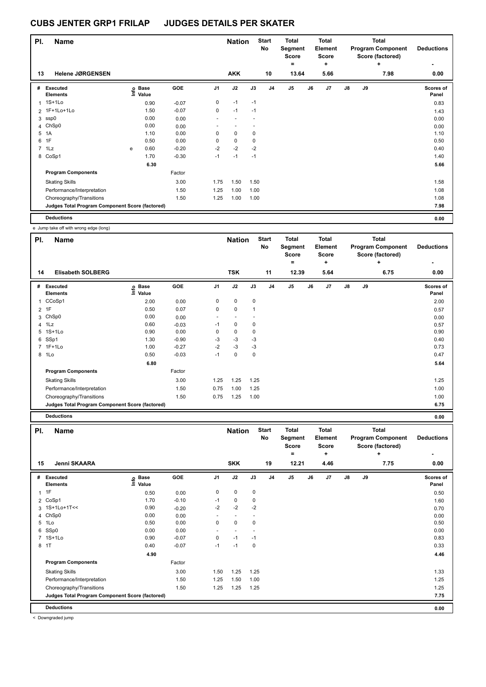|             | PI.<br><b>Name</b>                              |      |                      |         |                | <b>Nation</b> |      | <b>Start</b><br>No | <b>Total</b><br>Segment<br><b>Score</b> |    | <b>Total</b><br>Element<br><b>Score</b> | <b>Total</b><br><b>Program Component</b><br>Score (factored) |    |           | <b>Deductions</b>  |
|-------------|-------------------------------------------------|------|----------------------|---------|----------------|---------------|------|--------------------|-----------------------------------------|----|-----------------------------------------|--------------------------------------------------------------|----|-----------|--------------------|
| 13          | <b>Helene JØRGENSEN</b>                         |      |                      |         |                | <b>AKK</b>    |      | 10                 | ٠<br>13.64                              |    | ٠<br>5.66                               |                                                              |    | ÷<br>7.98 | 0.00               |
|             |                                                 |      |                      |         |                |               |      |                    |                                         |    |                                         |                                                              |    |           |                    |
| #           | Executed<br><b>Elements</b>                     | Info | <b>Base</b><br>Value | GOE     | J <sub>1</sub> | J2            | J3   | J <sub>4</sub>     | J <sub>5</sub>                          | J6 | J7                                      | $\mathsf{J}8$                                                | J9 |           | Scores of<br>Panel |
| 1           | $1S+1L0$                                        |      | 0.90                 | $-0.07$ | 0              | $-1$          | $-1$ |                    |                                         |    |                                         |                                                              |    |           | 0.83               |
|             | 2 1F+1Lo+1Lo                                    |      | 1.50                 | $-0.07$ | $\mathbf 0$    | $-1$          | $-1$ |                    |                                         |    |                                         |                                                              |    |           | 1.43               |
| 3           | ssp0                                            |      | 0.00                 | 0.00    |                |               |      |                    |                                         |    |                                         |                                                              |    |           | 0.00               |
| 4           | ChSp0                                           |      | 0.00                 | 0.00    |                |               |      |                    |                                         |    |                                         |                                                              |    |           | 0.00               |
| 5           | 1A                                              |      | 1.10                 | 0.00    | 0              | $\mathbf 0$   | 0    |                    |                                         |    |                                         |                                                              |    |           | 1.10               |
| 6           | 1F                                              |      | 0.50                 | 0.00    | 0              | $\mathbf 0$   | 0    |                    |                                         |    |                                         |                                                              |    |           | 0.50               |
| $7^{\circ}$ | 1Lz                                             | e    | 0.60                 | $-0.20$ | $-2$           | $-2$          | $-2$ |                    |                                         |    |                                         |                                                              |    |           | 0.40               |
|             | 8 CoSp1                                         |      | 1.70                 | $-0.30$ | $-1$           | $-1$          | $-1$ |                    |                                         |    |                                         |                                                              |    |           | 1.40               |
|             |                                                 |      | 6.30                 |         |                |               |      |                    |                                         |    |                                         |                                                              |    |           | 5.66               |
|             | <b>Program Components</b>                       |      |                      | Factor  |                |               |      |                    |                                         |    |                                         |                                                              |    |           |                    |
|             | <b>Skating Skills</b>                           |      |                      | 3.00    | 1.75           | 1.50          | 1.50 |                    |                                         |    |                                         |                                                              |    |           | 1.58               |
|             | Performance/Interpretation                      |      |                      | 1.50    | 1.25           | 1.00          | 1.00 |                    |                                         |    |                                         |                                                              |    |           | 1.08               |
|             | Choreography/Transitions                        |      |                      | 1.50    | 1.25           | 1.00          | 1.00 |                    |                                         |    |                                         |                                                              |    |           | 1.08               |
|             | Judges Total Program Component Score (factored) |      |                      |         |                |               |      |                    |                                         |    |                                         |                                                              |    |           | 7.98               |
|             | <b>Deductions</b>                               |      |                      |         |                |               |      |                    |                                         |    |                                         |                                                              |    |           | 0.00               |

e Jump take off with wrong edge (long)

| PI.            | Name                                            |                              |         |                | <b>Nation</b>            |              | <b>Start</b><br><b>No</b> | Total<br>Segment<br><b>Score</b><br>= |    | <b>Total</b><br><b>Element</b><br><b>Score</b><br>÷ |    |    | <b>Total</b><br><b>Program Component</b><br>Score (factored)<br>٠ | <b>Deductions</b><br>$\overline{\phantom{0}}$ |
|----------------|-------------------------------------------------|------------------------------|---------|----------------|--------------------------|--------------|---------------------------|---------------------------------------|----|-----------------------------------------------------|----|----|-------------------------------------------------------------------|-----------------------------------------------|
| 14             | <b>Elisabeth SOLBERG</b>                        |                              |         |                | <b>TSK</b>               |              | 11                        | 12.39                                 |    | 5.64                                                |    |    | 6.75                                                              | 0.00                                          |
| #              | <b>Executed</b><br><b>Elements</b>              | <b>Base</b><br>Info<br>Value | GOE     | J <sub>1</sub> | J2                       | J3           | J <sub>4</sub>            | J <sub>5</sub>                        | J6 | J <sub>7</sub>                                      | J8 | J9 |                                                                   | Scores of<br>Panel                            |
| 1              | CCoSp1                                          | 2.00                         | 0.00    | 0              | $\mathbf 0$              | $\pmb{0}$    |                           |                                       |    |                                                     |    |    |                                                                   | 2.00                                          |
|                | $2$ 1F                                          | 0.50                         | 0.07    | 0              | $\mathbf 0$              | $\mathbf{1}$ |                           |                                       |    |                                                     |    |    |                                                                   | 0.57                                          |
| 3              | ChSp0                                           | 0.00                         | 0.00    | ٠              | $\overline{\phantom{a}}$ |              |                           |                                       |    |                                                     |    |    |                                                                   | 0.00                                          |
| $\overline{4}$ | 1Lz                                             | 0.60                         | $-0.03$ | $-1$           | 0                        | 0            |                           |                                       |    |                                                     |    |    |                                                                   | 0.57                                          |
| 5              | $1S+1Lo$                                        | 0.90                         | 0.00    | 0              | 0                        | 0            |                           |                                       |    |                                                     |    |    |                                                                   | 0.90                                          |
|                | 6 SSp1                                          | 1.30                         | $-0.90$ | $-3$           | $-3$                     | -3           |                           |                                       |    |                                                     |    |    |                                                                   | 0.40                                          |
|                | 7 1F+1Lo                                        | 1.00                         | $-0.27$ | $-2$           | $-3$                     | -3           |                           |                                       |    |                                                     |    |    |                                                                   | 0.73                                          |
|                | 8 1Lo                                           | 0.50                         | $-0.03$ | $-1$           | $\mathbf 0$              | 0            |                           |                                       |    |                                                     |    |    |                                                                   | 0.47                                          |
|                |                                                 | 6.80                         |         |                |                          |              |                           |                                       |    |                                                     |    |    |                                                                   | 5.64                                          |
|                | <b>Program Components</b>                       |                              | Factor  |                |                          |              |                           |                                       |    |                                                     |    |    |                                                                   |                                               |
|                | <b>Skating Skills</b>                           |                              | 3.00    | 1.25           | 1.25                     | 1.25         |                           |                                       |    |                                                     |    |    |                                                                   | 1.25                                          |
|                | Performance/Interpretation                      |                              | 1.50    | 0.75           | 1.00                     | 1.25         |                           |                                       |    |                                                     |    |    |                                                                   | 1.00                                          |
|                | Choreography/Transitions                        |                              | 1.50    | 0.75           | 1.25                     | 1.00         |                           |                                       |    |                                                     |    |    |                                                                   | 1.00                                          |
|                | Judges Total Program Component Score (factored) |                              |         |                |                          |              |                           |                                       |    |                                                     |    |    |                                                                   | 6.75                                          |
|                | <b>Deductions</b>                               |                              |         |                |                          |              |                           |                                       |    |                                                     |    |    |                                                                   | 0.00                                          |

| PI.          | <b>Name</b>                                     |                                           |         |                | <b>Nation</b>            |                          | <b>Start</b><br>No | <b>Total</b><br>Segment<br><b>Score</b><br>٠ |    | <b>Total</b><br>Element<br><b>Score</b><br>÷ |               | <b>Total</b><br><b>Program Component</b><br>Score (factored) | <b>Deductions</b> |                    |
|--------------|-------------------------------------------------|-------------------------------------------|---------|----------------|--------------------------|--------------------------|--------------------|----------------------------------------------|----|----------------------------------------------|---------------|--------------------------------------------------------------|-------------------|--------------------|
| 15           | Jenni SKAARA                                    |                                           |         |                | <b>SKK</b>               |                          | 19                 | 12.21                                        |    | 4.46                                         |               |                                                              | ٠<br>7.75         | ۰<br>0.00          |
| #            | <b>Executed</b><br><b>Elements</b>              | $\frac{6}{5}$ Base<br>$\frac{5}{5}$ Value | GOE     | J <sub>1</sub> | J2                       | J3                       | J <sub>4</sub>     | J <sub>5</sub>                               | J6 | J7                                           | $\mathsf{J}8$ | J9                                                           |                   | Scores of<br>Panel |
| $\mathbf{1}$ | 1F                                              | 0.50                                      | 0.00    | 0              | $\mathbf 0$              | 0                        |                    |                                              |    |                                              |               |                                                              |                   | 0.50               |
|              | 2 CoSp1                                         | 1.70                                      | $-0.10$ | $-1$           | $\mathbf 0$              | 0                        |                    |                                              |    |                                              |               |                                                              |                   | 1.60               |
|              | 3 1S+1Lo+1T<<                                   | 0.90                                      | $-0.20$ | $-2$           | $-2$                     | $-2$                     |                    |                                              |    |                                              |               |                                                              |                   | 0.70               |
| 4            | ChSp0                                           | 0.00                                      | 0.00    | ٠              | $\overline{\phantom{a}}$ | $\overline{\phantom{a}}$ |                    |                                              |    |                                              |               |                                                              |                   | 0.00               |
| 5            | 1Lo                                             | 0.50                                      | 0.00    | 0              | $\mathbf 0$              | 0                        |                    |                                              |    |                                              |               |                                                              |                   | 0.50               |
| 6            | SSp0                                            | 0.00                                      | 0.00    | ٠              | $\overline{\phantom{a}}$ |                          |                    |                                              |    |                                              |               |                                                              |                   | 0.00               |
|              | 7 1S+1Lo                                        | 0.90                                      | $-0.07$ | 0              | $-1$                     | $-1$                     |                    |                                              |    |                                              |               |                                                              |                   | 0.83               |
|              | 8 1T                                            | 0.40                                      | $-0.07$ | $-1$           | $-1$                     | $\mathbf 0$              |                    |                                              |    |                                              |               |                                                              |                   | 0.33               |
|              |                                                 | 4.90                                      |         |                |                          |                          |                    |                                              |    |                                              |               |                                                              |                   | 4.46               |
|              | <b>Program Components</b>                       |                                           | Factor  |                |                          |                          |                    |                                              |    |                                              |               |                                                              |                   |                    |
|              | <b>Skating Skills</b>                           |                                           | 3.00    | 1.50           | 1.25                     | 1.25                     |                    |                                              |    |                                              |               |                                                              |                   | 1.33               |
|              | Performance/Interpretation                      |                                           | 1.50    | 1.25           | 1.50                     | 1.00                     |                    |                                              |    |                                              |               |                                                              |                   | 1.25               |
|              | Choreography/Transitions                        |                                           | 1.50    | 1.25           | 1.25                     | 1.25                     |                    |                                              |    |                                              |               |                                                              |                   | 1.25               |
|              | Judges Total Program Component Score (factored) |                                           |         |                |                          |                          |                    |                                              |    |                                              |               |                                                              |                   | 7.75               |
|              | <b>Deductions</b>                               |                                           |         |                |                          |                          |                    |                                              |    |                                              |               |                                                              |                   | 0.00               |

< Downgraded jump